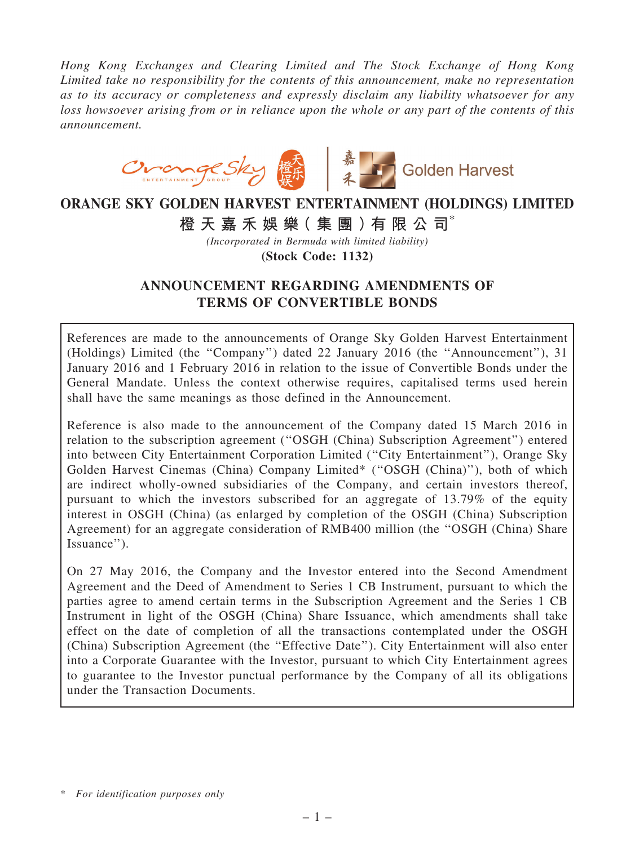Hong Kong Exchanges and Clearing Limited and The Stock Exchange of Hong Kong Limited take no responsibility for the contents of this announcement, make no representation as to its accuracy or completeness and expressly disclaim any liability whatsoever for any loss howsoever arising from or in reliance upon the whole or any part of the contents of this announcement.



# ORANGE SKY GOLDEN HARVEST ENTERTAINMENT (HOLDINGS) LIMITED 橙 天 嘉 禾 娛 樂 (集 團 ) 有 限 公 司 $^*$

(Incorporated in Bermuda with limited liability)

(Stock Code: 1132)

# ANNOUNCEMENT REGARDING AMENDMENTS OF TERMS OF CONVERTIBLE BONDS

References are made to the announcements of Orange Sky Golden Harvest Entertainment (Holdings) Limited (the ''Company'') dated 22 January 2016 (the ''Announcement''), 31 January 2016 and 1 February 2016 in relation to the issue of Convertible Bonds under the General Mandate. Unless the context otherwise requires, capitalised terms used herein shall have the same meanings as those defined in the Announcement.

Reference is also made to the announcement of the Company dated 15 March 2016 in relation to the subscription agreement (''OSGH (China) Subscription Agreement'') entered into between City Entertainment Corporation Limited (''City Entertainment''), Orange Sky Golden Harvest Cinemas (China) Company Limited\* (''OSGH (China)''), both of which are indirect wholly-owned subsidiaries of the Company, and certain investors thereof, pursuant to which the investors subscribed for an aggregate of 13.79% of the equity interest in OSGH (China) (as enlarged by completion of the OSGH (China) Subscription Agreement) for an aggregate consideration of RMB400 million (the ''OSGH (China) Share Issuance'').

On 27 May 2016, the Company and the Investor entered into the Second Amendment Agreement and the Deed of Amendment to Series 1 CB Instrument, pursuant to which the parties agree to amend certain terms in the Subscription Agreement and the Series 1 CB Instrument in light of the OSGH (China) Share Issuance, which amendments shall take effect on the date of completion of all the transactions contemplated under the OSGH (China) Subscription Agreement (the ''Effective Date''). City Entertainment will also enter into a Corporate Guarantee with the Investor, pursuant to which City Entertainment agrees to guarantee to the Investor punctual performance by the Company of all its obligations under the Transaction Documents.

<sup>\*</sup> For identification purposes only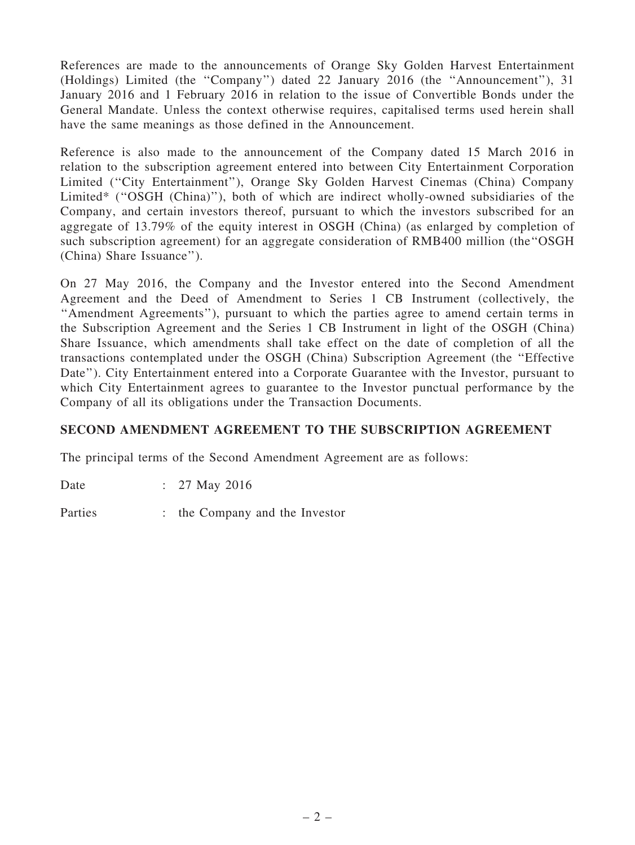References are made to the announcements of Orange Sky Golden Harvest Entertainment (Holdings) Limited (the ''Company'') dated 22 January 2016 (the ''Announcement''), 31 January 2016 and 1 February 2016 in relation to the issue of Convertible Bonds under the General Mandate. Unless the context otherwise requires, capitalised terms used herein shall have the same meanings as those defined in the Announcement.

Reference is also made to the announcement of the Company dated 15 March 2016 in relation to the subscription agreement entered into between City Entertainment Corporation Limited (''City Entertainment''), Orange Sky Golden Harvest Cinemas (China) Company Limited\* (''OSGH (China)''), both of which are indirect wholly-owned subsidiaries of the Company, and certain investors thereof, pursuant to which the investors subscribed for an aggregate of 13.79% of the equity interest in OSGH (China) (as enlarged by completion of such subscription agreement) for an aggregate consideration of RMB400 million (the''OSGH (China) Share Issuance'').

On 27 May 2016, the Company and the Investor entered into the Second Amendment Agreement and the Deed of Amendment to Series 1 CB Instrument (collectively, the ''Amendment Agreements''), pursuant to which the parties agree to amend certain terms in the Subscription Agreement and the Series 1 CB Instrument in light of the OSGH (China) Share Issuance, which amendments shall take effect on the date of completion of all the transactions contemplated under the OSGH (China) Subscription Agreement (the ''Effective Date"). City Entertainment entered into a Corporate Guarantee with the Investor, pursuant to which City Entertainment agrees to guarantee to the Investor punctual performance by the Company of all its obligations under the Transaction Documents.

# SECOND AMENDMENT AGREEMENT TO THE SUBSCRIPTION AGREEMENT

The principal terms of the Second Amendment Agreement are as follows:

Date : 27 May 2016

Parties : the Company and the Investor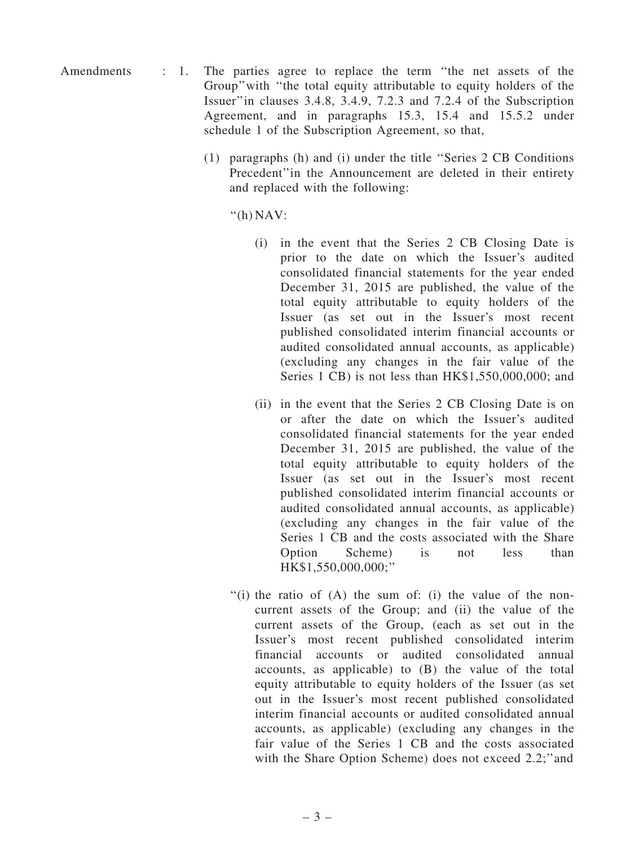- Amendments : 1. The parties agree to replace the term "the net assets of the Group''with ''the total equity attributable to equity holders of the Issuer''in clauses 3.4.8, 3.4.9, 7.2.3 and 7.2.4 of the Subscription Agreement, and in paragraphs 15.3, 15.4 and 15.5.2 under schedule 1 of the Subscription Agreement, so that,
	- (1) paragraphs (h) and (i) under the title ''Series 2 CB Conditions Precedent''in the Announcement are deleted in their entirety and replaced with the following:

''(h) NAV:

- (i) in the event that the Series 2 CB Closing Date is prior to the date on which the Issuer's audited consolidated financial statements for the year ended December 31, 2015 are published, the value of the total equity attributable to equity holders of the Issuer (as set out in the Issuer's most recent published consolidated interim financial accounts or audited consolidated annual accounts, as applicable) (excluding any changes in the fair value of the Series 1 CB) is not less than HK\$1,550,000,000; and
- (ii) in the event that the Series 2 CB Closing Date is on or after the date on which the Issuer's audited consolidated financial statements for the year ended December 31, 2015 are published, the value of the total equity attributable to equity holders of the Issuer (as set out in the Issuer's most recent published consolidated interim financial accounts or audited consolidated annual accounts, as applicable) (excluding any changes in the fair value of the Series 1 CB and the costs associated with the Share Option Scheme) is not less than HK\$1,550,000,000;''
- $''(i)$  the ratio of  $(A)$  the sum of: (i) the value of the noncurrent assets of the Group; and (ii) the value of the current assets of the Group, (each as set out in the Issuer's most recent published consolidated interim financial accounts or audited consolidated annual accounts, as applicable) to (B) the value of the total equity attributable to equity holders of the Issuer (as set out in the Issuer's most recent published consolidated interim financial accounts or audited consolidated annual accounts, as applicable) (excluding any changes in the fair value of the Series 1 CB and the costs associated with the Share Option Scheme) does not exceed 2.2;" and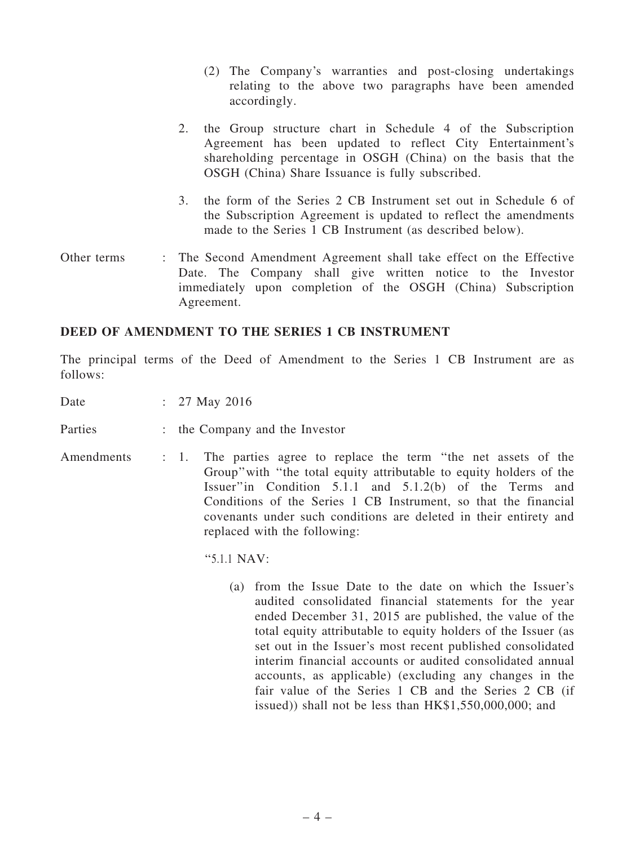- (2) The Company's warranties and post-closing undertakings relating to the above two paragraphs have been amended accordingly.
- 2. the Group structure chart in Schedule 4 of the Subscription Agreement has been updated to reflect City Entertainment's shareholding percentage in OSGH (China) on the basis that the OSGH (China) Share Issuance is fully subscribed.
- 3. the form of the Series 2 CB Instrument set out in Schedule 6 of the Subscription Agreement is updated to reflect the amendments made to the Series 1 CB Instrument (as described below).
- Other terms : The Second Amendment Agreement shall take effect on the Effective Date. The Company shall give written notice to the Investor immediately upon completion of the OSGH (China) Subscription Agreement.

#### DEED OF AMENDMENT TO THE SERIES 1 CB INSTRUMENT

The principal terms of the Deed of Amendment to the Series 1 CB Instrument are as follows:

Date : 27 May 2016

Parties : the Company and the Investor

Amendments : 1. The parties agree to replace the term "the net assets of the Group''with ''the total equity attributable to equity holders of the Issuer''in Condition 5.1.1 and 5.1.2(b) of the Terms and Conditions of the Series 1 CB Instrument, so that the financial covenants under such conditions are deleted in their entirety and replaced with the following:

''5.1.1 NAV:

(a) from the Issue Date to the date on which the Issuer's audited consolidated financial statements for the year ended December 31, 2015 are published, the value of the total equity attributable to equity holders of the Issuer (as set out in the Issuer's most recent published consolidated interim financial accounts or audited consolidated annual accounts, as applicable) (excluding any changes in the fair value of the Series 1 CB and the Series 2 CB (if issued)) shall not be less than HK\$1,550,000,000; and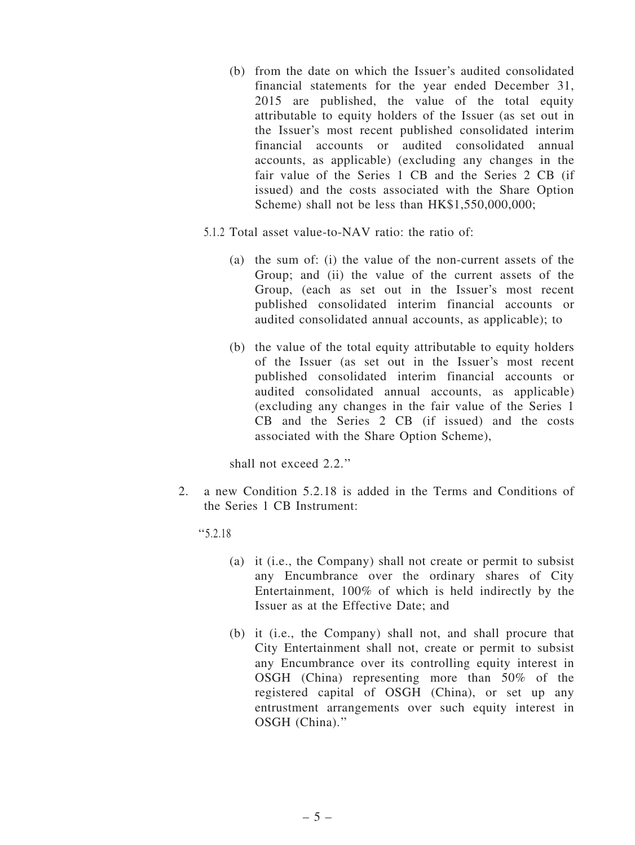- (b) from the date on which the Issuer's audited consolidated financial statements for the year ended December 31, 2015 are published, the value of the total equity attributable to equity holders of the Issuer (as set out in the Issuer's most recent published consolidated interim financial accounts or audited consolidated annual accounts, as applicable) (excluding any changes in the fair value of the Series 1 CB and the Series 2 CB (if issued) and the costs associated with the Share Option Scheme) shall not be less than HK\$1,550,000,000;
- 5.1.2 Total asset value-to-NAV ratio: the ratio of:
	- (a) the sum of: (i) the value of the non-current assets of the Group; and (ii) the value of the current assets of the Group, (each as set out in the Issuer's most recent published consolidated interim financial accounts or audited consolidated annual accounts, as applicable); to
	- (b) the value of the total equity attributable to equity holders of the Issuer (as set out in the Issuer's most recent published consolidated interim financial accounts or audited consolidated annual accounts, as applicable) (excluding any changes in the fair value of the Series 1 CB and the Series 2 CB (if issued) and the costs associated with the Share Option Scheme),

shall not exceed 2.2.''

2. a new Condition 5.2.18 is added in the Terms and Conditions of the Series 1 CB Instrument:

''5.2.18

- (a) it (i.e., the Company) shall not create or permit to subsist any Encumbrance over the ordinary shares of City Entertainment, 100% of which is held indirectly by the Issuer as at the Effective Date; and
- (b) it (i.e., the Company) shall not, and shall procure that City Entertainment shall not, create or permit to subsist any Encumbrance over its controlling equity interest in OSGH (China) representing more than 50% of the registered capital of OSGH (China), or set up any entrustment arrangements over such equity interest in OSGH (China).''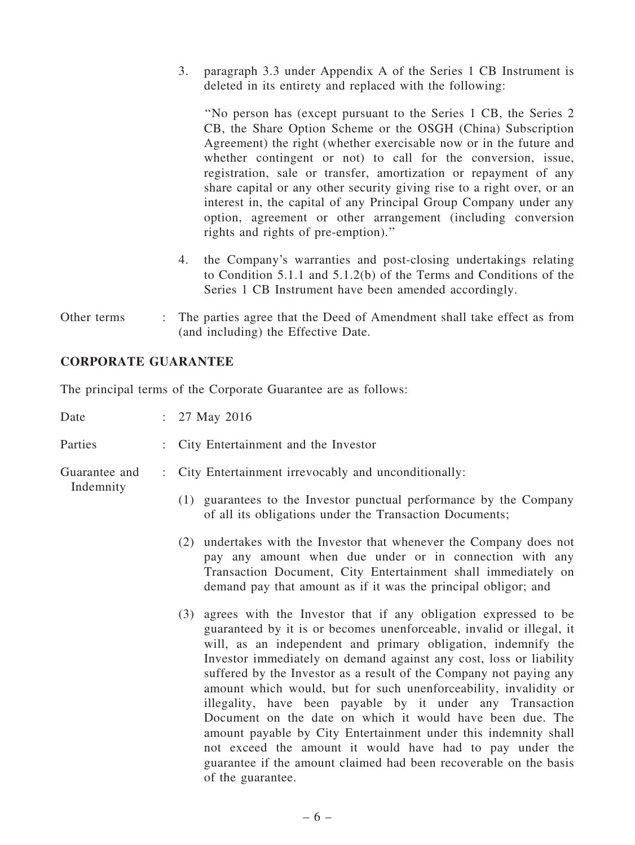3. paragraph 3.3 under Appendix A of the Series 1 CB Instrument is deleted in its entirety and replaced with the following:

''No person has (except pursuant to the Series 1 CB, the Series 2 CB, the Share Option Scheme or the OSGH (China) Subscription Agreement) the right (whether exercisable now or in the future and whether contingent or not) to call for the conversion, issue, registration, sale or transfer, amortization or repayment of any share capital or any other security giving rise to a right over, or an interest in, the capital of any Principal Group Company under any option, agreement or other arrangement (including conversion rights and rights of pre-emption).''

- 4. the Company's warranties and post-closing undertakings relating to Condition 5.1.1 and 5.1.2(b) of the Terms and Conditions of the Series 1 CB Instrument have been amended accordingly.
- Other terms : The parties agree that the Deed of Amendment shall take effect as from (and including) the Effective Date.

#### CORPORATE GUARANTEE

The principal terms of the Corporate Guarantee are as follows:

| Date                       |  | : $27$ May $2016$                                                                                                                                                                                                                                                                                                                                                                                                                                                                                                                                                                                                                                                                                                                                                                  |
|----------------------------|--|------------------------------------------------------------------------------------------------------------------------------------------------------------------------------------------------------------------------------------------------------------------------------------------------------------------------------------------------------------------------------------------------------------------------------------------------------------------------------------------------------------------------------------------------------------------------------------------------------------------------------------------------------------------------------------------------------------------------------------------------------------------------------------|
| Parties                    |  | : City Entertainment and the Investor                                                                                                                                                                                                                                                                                                                                                                                                                                                                                                                                                                                                                                                                                                                                              |
| Guarantee and<br>Indemnity |  | City Entertainment irrevocably and unconditionally:                                                                                                                                                                                                                                                                                                                                                                                                                                                                                                                                                                                                                                                                                                                                |
|                            |  | (1) guarantees to the Investor punctual performance by the Company<br>of all its obligations under the Transaction Documents;                                                                                                                                                                                                                                                                                                                                                                                                                                                                                                                                                                                                                                                      |
|                            |  | undertakes with the Investor that whenever the Company does not<br>(2)<br>pay any amount when due under or in connection with any<br>Transaction Document, City Entertainment shall immediately on<br>demand pay that amount as if it was the principal obligor; and                                                                                                                                                                                                                                                                                                                                                                                                                                                                                                               |
|                            |  | agrees with the Investor that if any obligation expressed to be<br>(3)<br>guaranteed by it is or becomes unenforceable, invalid or illegal, it<br>will, as an independent and primary obligation, indemnify the<br>Investor immediately on demand against any cost, loss or liability<br>suffered by the Investor as a result of the Company not paying any<br>amount which would, but for such unenforceability, invalidity or<br>illegality, have been payable by it under any Transaction<br>Document on the date on which it would have been due. The<br>amount payable by City Entertainment under this indemnity shall<br>not exceed the amount it would have had to pay under the<br>guarantee if the amount claimed had been recoverable on the basis<br>of the guarantee. |